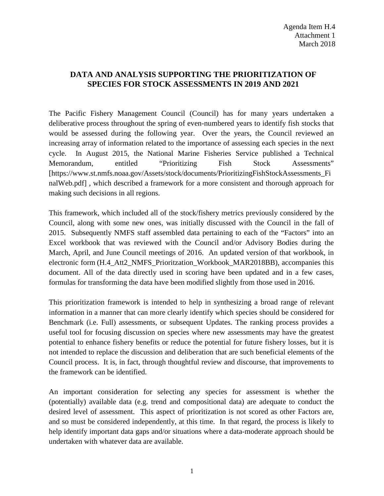## **DATA AND ANALYSIS SUPPORTING THE PRIORITIZATION OF SPECIES FOR STOCK ASSESSMENTS IN 2019 AND 2021**

The Pacific Fishery Management Council (Council) has for many years undertaken a deliberative process throughout the spring of even-numbered years to identify fish stocks that would be assessed during the following year. Over the years, the Council reviewed an increasing array of information related to the importance of assessing each species in the next cycle. In August 2015, the National Marine Fisheries Service published a Technical Memorandum, entitled "Prioritizing Fish Stock Assessments" [https://www.st.nmfs.noaa.gov/Assets/stock/documents/PrioritizingFishStockAssessments\_Fi nalWeb.pdf] , which described a framework for a more consistent and thorough approach for making such decisions in all regions.

This framework, which included all of the stock/fishery metrics previously considered by the Council, along with some new ones, was initially discussed with the Council in the fall of 2015. Subsequently NMFS staff assembled data pertaining to each of the "Factors" into an Excel workbook that was reviewed with the Council and/or Advisory Bodies during the March, April, and June Council meetings of 2016. An updated version of that workbook, in electronic form (H.4\_Att2\_NMFS\_Prioritzation\_Workbook\_MAR2018BB), accompanies this document. All of the data directly used in scoring have been updated and in a few cases, formulas for transforming the data have been modified slightly from those used in 2016.

This prioritization framework is intended to help in synthesizing a broad range of relevant information in a manner that can more clearly identify which species should be considered for Benchmark (i.e. Full) assessments, or subsequent Updates. The ranking process provides a useful tool for focusing discussion on species where new assessments may have the greatest potential to enhance fishery benefits or reduce the potential for future fishery losses, but it is not intended to replace the discussion and deliberation that are such beneficial elements of the Council process. It is, in fact, through thoughtful review and discourse, that improvements to the framework can be identified.

An important consideration for selecting any species for assessment is whether the (potentially) available data (e.g. trend and compositional data) are adequate to conduct the desired level of assessment. This aspect of prioritization is not scored as other Factors are, and so must be considered independently, at this time. In that regard, the process is likely to help identify important data gaps and/or situations where a data-moderate approach should be undertaken with whatever data are available.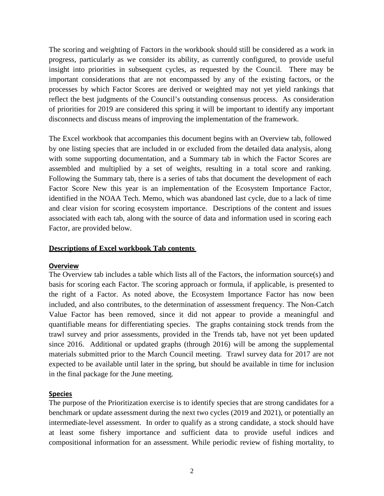The scoring and weighting of Factors in the workbook should still be considered as a work in progress, particularly as we consider its ability, as currently configured, to provide useful insight into priorities in subsequent cycles, as requested by the Council. There may be important considerations that are not encompassed by any of the existing factors, or the processes by which Factor Scores are derived or weighted may not yet yield rankings that reflect the best judgments of the Council's outstanding consensus process. As consideration of priorities for 2019 are considered this spring it will be important to identify any important disconnects and discuss means of improving the implementation of the framework.

The Excel workbook that accompanies this document begins with an Overview tab, followed by one listing species that are included in or excluded from the detailed data analysis, along with some supporting documentation, and a Summary tab in which the Factor Scores are assembled and multiplied by a set of weights, resulting in a total score and ranking. Following the Summary tab, there is a series of tabs that document the development of each Factor Score New this year is an implementation of the Ecosystem Importance Factor, identified in the NOAA Tech. Memo, which was abandoned last cycle, due to a lack of time and clear vision for scoring ecosystem importance. Descriptions of the content and issues associated with each tab, along with the source of data and information used in scoring each Factor, are provided below.

#### **Descriptions of Excel workbook Tab contents**

#### **Overview**

The Overview tab includes a table which lists all of the Factors, the information source(s) and basis for scoring each Factor. The scoring approach or formula, if applicable, is presented to the right of a Factor. As noted above, the Ecosystem Importance Factor has now been included, and also contributes, to the determination of assessment frequency. The Non-Catch Value Factor has been removed, since it did not appear to provide a meaningful and quantifiable means for differentiating species. The graphs containing stock trends from the trawl survey and prior assessments, provided in the Trends tab, have not yet been updated since 2016. Additional or updated graphs (through 2016) will be among the supplemental materials submitted prior to the March Council meeting. Trawl survey data for 2017 are not expected to be available until later in the spring, but should be available in time for inclusion in the final package for the June meeting.

## **Species**

The purpose of the Prioritization exercise is to identify species that are strong candidates for a benchmark or update assessment during the next two cycles (2019 and 2021), or potentially an intermediate-level assessment. In order to qualify as a strong candidate, a stock should have at least some fishery importance and sufficient data to provide useful indices and compositional information for an assessment. While periodic review of fishing mortality, to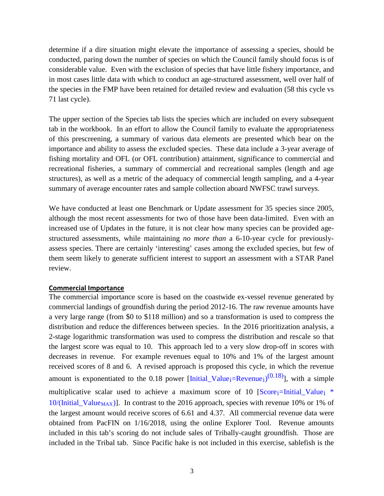determine if a dire situation might elevate the importance of assessing a species, should be conducted, paring down the number of species on which the Council family should focus is of considerable value. Even with the exclusion of species that have little fishery importance, and in most cases little data with which to conduct an age-structured assessment, well over half of the species in the FMP have been retained for detailed review and evaluation (58 this cycle vs 71 last cycle).

The upper section of the Species tab lists the species which are included on every subsequent tab in the workbook. In an effort to allow the Council family to evaluate the appropriateness of this prescreening, a summary of various data elements are presented which bear on the importance and ability to assess the excluded species. These data include a 3-year average of fishing mortality and OFL (or OFL contribution) attainment, significance to commercial and recreational fisheries, a summary of commercial and recreational samples (length and age structures), as well as a metric of the adequacy of commercial length sampling, and a 4-year summary of average encounter rates and sample collection aboard NWFSC trawl surveys.

We have conducted at least one Benchmark or Update assessment for 35 species since 2005, although the most recent assessments for two of those have been data-limited. Even with an increased use of Updates in the future, it is not clear how many species can be provided agestructured assessments, while maintaining *no more than* a 6-10-year cycle for previouslyassess species. There are certainly 'interesting' cases among the excluded species, but few of them seem likely to generate sufficient interest to support an assessment with a STAR Panel review.

## **Commercial Importance**

The commercial importance score is based on the coastwide ex-vessel revenue generated by commercial landings of groundfish during the period 2012-16. The raw revenue amounts have a very large range (from \$0 to \$118 million) and so a transformation is used to compress the distribution and reduce the differences between species. In the 2016 prioritization analysis, a 2-stage logarithmic transformation was used to compress the distribution and rescale so that the largest score was equal to 10. This approach led to a very slow drop-off in scores with decreases in revenue. For example revenues equal to 10% and 1% of the largest amount received scores of 8 and 6. A revised approach is proposed this cycle, in which the revenue amount is exponentiated to the 0.18 power [Initial\_Value<sub>i</sub>=Revenue<sub>i</sub>)<sup>(0.18)</sup>], with a simple multiplicative scalar used to achieve a maximum score of 10  $[Score_i=Initial\_Value_i$  \*  $10/(\text{Initial\_Value}_{\text{MAX}})$ . In contrast to the 2016 approach, species with revenue 10% or 1% of the largest amount would receive scores of 6.61 and 4.37. All commercial revenue data were obtained from PacFIN on 1/16/2018, using the online Explorer Tool. Revenue amounts included in this tab's scoring do not include sales of Tribally-caught groundfish. Those are included in the Tribal tab. Since Pacific hake is not included in this exercise, sablefish is the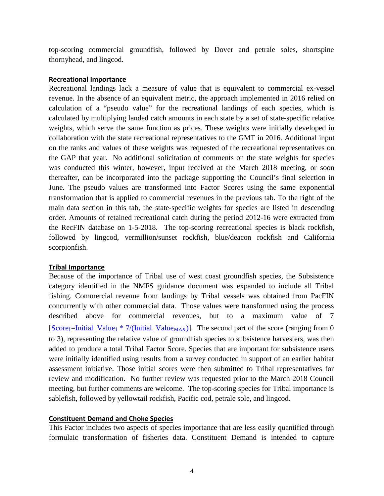top-scoring commercial groundfish, followed by Dover and petrale soles, shortspine thornyhead, and lingcod.

#### **Recreational Importance**

Recreational landings lack a measure of value that is equivalent to commercial ex-vessel revenue. In the absence of an equivalent metric, the approach implemented in 2016 relied on calculation of a "pseudo value" for the recreational landings of each species, which is calculated by multiplying landed catch amounts in each state by a set of state-specific relative weights, which serve the same function as prices. These weights were initially developed in collaboration with the state recreational representatives to the GMT in 2016. Additional input on the ranks and values of these weights was requested of the recreational representatives on the GAP that year. No additional solicitation of comments on the state weights for species was conducted this winter, however, input received at the March 2018 meeting, or soon thereafter, can be incorporated into the package supporting the Council's final selection in June. The pseudo values are transformed into Factor Scores using the same exponential transformation that is applied to commercial revenues in the previous tab. To the right of the main data section in this tab, the state-specific weights for species are listed in descending order. Amounts of retained recreational catch during the period 2012-16 were extracted from the RecFIN database on 1-5-2018. The top-scoring recreational species is black rockfish, followed by lingcod, vermillion/sunset rockfish, blue/deacon rockfish and California scorpionfish.

## **Tribal Importance**

Because of the importance of Tribal use of west coast groundfish species, the Subsistence category identified in the NMFS guidance document was expanded to include all Tribal fishing. Commercial revenue from landings by Tribal vessels was obtained from PacFIN concurrently with other commercial data. Those values were transformed using the process described above for commercial revenues, but to a maximum value of 7  $[Score_i=Initial\_Value_i * 7/(Initial\_Value_{MAX})]$ . The second part of the score (ranging from 0 to 3), representing the relative value of groundfish species to subsistence harvesters, was then added to produce a total Tribal Factor Score. Species that are important for subsistence users were initially identified using results from a survey conducted in support of an earlier habitat assessment initiative. Those initial scores were then submitted to Tribal representatives for review and modification. No further review was requested prior to the March 2018 Council meeting, but further comments are welcome. The top-scoring species for Tribal importance is sablefish, followed by yellowtail rockfish, Pacific cod, petrale sole, and lingcod.

#### **Constituent Demand and Choke Species**

This Factor includes two aspects of species importance that are less easily quantified through formulaic transformation of fisheries data. Constituent Demand is intended to capture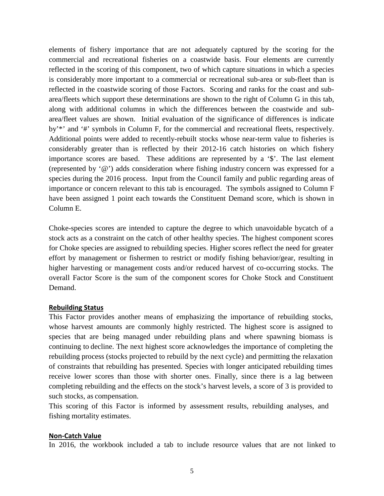elements of fishery importance that are not adequately captured by the scoring for the commercial and recreational fisheries on a coastwide basis. Four elements are currently reflected in the scoring of this component, two of which capture situations in which a species is considerably more important to a commercial or recreational sub-area or sub-fleet than is reflected in the coastwide scoring of those Factors. Scoring and ranks for the coast and subarea/fleets which support these determinations are shown to the right of Column G in this tab, along with additional columns in which the differences between the coastwide and subarea/fleet values are shown. Initial evaluation of the significance of differences is indicate by'\*' and '#' symbols in Column F, for the commercial and recreational fleets, respectively. Additional points were added to recently-rebuilt stocks whose near-term value to fisheries is considerably greater than is reflected by their 2012-16 catch histories on which fishery importance scores are based. These additions are represented by a '\$'. The last element (represented by '@') adds consideration where fishing industry concern was expressed for a species during the 2016 process. Input from the Council family and public regarding areas of importance or concern relevant to this tab is encouraged. The symbols assigned to Column F have been assigned 1 point each towards the Constituent Demand score, which is shown in Column E.

Choke-species scores are intended to capture the degree to which unavoidable bycatch of a stock acts as a constraint on the catch of other healthy species. The highest component scores for Choke species are assigned to rebuilding species. Higher scores reflect the need for greater effort by management or fishermen to restrict or modify fishing behavior/gear, resulting in higher harvesting or management costs and/or reduced harvest of co-occurring stocks. The overall Factor Score is the sum of the component scores for Choke Stock and Constituent Demand.

#### **Rebuilding Status**

This Factor provides another means of emphasizing the importance of rebuilding stocks, whose harvest amounts are commonly highly restricted. The highest score is assigned to species that are being managed under rebuilding plans and where spawning biomass is continuing to decline. The next highest score acknowledges the importance of completing the rebuilding process (stocks projected to rebuild by the next cycle) and permitting the relaxation of constraints that rebuilding has presented. Species with longer anticipated rebuilding times receive lower scores than those with shorter ones. Finally, since there is a lag between completing rebuilding and the effects on the stock's harvest levels, a score of 3 is provided to such stocks, as compensation.

This scoring of this Factor is informed by assessment results, rebuilding analyses, and fishing mortality estimates.

#### **Non-Catch Value**

In 2016, the workbook included a tab to include resource values that are not linked to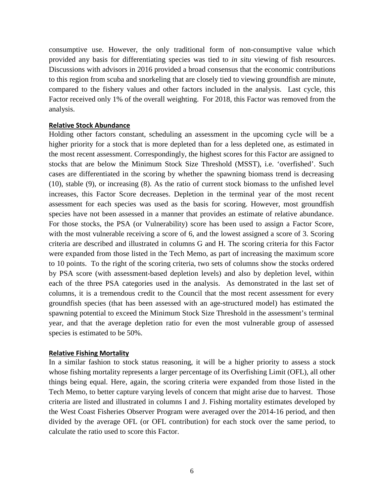consumptive use. However, the only traditional form of non-consumptive value which provided any basis for differentiating species was tied to *in situ* viewing of fish resources. Discussions with advisors in 2016 provided a broad consensus that the economic contributions to this region from scuba and snorkeling that are closely tied to viewing groundfish are minute, compared to the fishery values and other factors included in the analysis. Last cycle, this Factor received only 1% of the overall weighting. For 2018, this Factor was removed from the analysis.

#### **Relative Stock Abundance**

Holding other factors constant, scheduling an assessment in the upcoming cycle will be a higher priority for a stock that is more depleted than for a less depleted one, as estimated in the most recent assessment. Correspondingly, the highest scores for this Factor are assigned to stocks that are below the Minimum Stock Size Threshold (MSST), i.e. 'overfished'. Such cases are differentiated in the scoring by whether the spawning biomass trend is decreasing (10), stable (9), or increasing (8). As the ratio of current stock biomass to the unfished level increases, this Factor Score decreases. Depletion in the terminal year of the most recent assessment for each species was used as the basis for scoring. However, most groundfish species have not been assessed in a manner that provides an estimate of relative abundance. For those stocks, the PSA (or Vulnerability) score has been used to assign a Factor Score, with the most vulnerable receiving a score of 6, and the lowest assigned a score of 3. Scoring criteria are described and illustrated in columns G and H. The scoring criteria for this Factor were expanded from those listed in the Tech Memo, as part of increasing the maximum score to 10 points. To the right of the scoring criteria, two sets of columns show the stocks ordered by PSA score (with assessment-based depletion levels) and also by depletion level, within each of the three PSA categories used in the analysis. As demonstrated in the last set of columns, it is a tremendous credit to the Council that the most recent assessment for every groundfish species (that has been assessed with an age-structured model) has estimated the spawning potential to exceed the Minimum Stock Size Threshold in the assessment's terminal year, and that the average depletion ratio for even the most vulnerable group of assessed species is estimated to be 50%.

## **Relative Fishing Mortality**

In a similar fashion to stock status reasoning, it will be a higher priority to assess a stock whose fishing mortality represents a larger percentage of its Overfishing Limit (OFL), all other things being equal. Here, again, the scoring criteria were expanded from those listed in the Tech Memo, to better capture varying levels of concern that might arise due to harvest. Those criteria are listed and illustrated in columns I and J. Fishing mortality estimates developed by the West Coast Fisheries Observer Program were averaged over the 2014-16 period, and then divided by the average OFL (or OFL contribution) for each stock over the same period, to calculate the ratio used to score this Factor.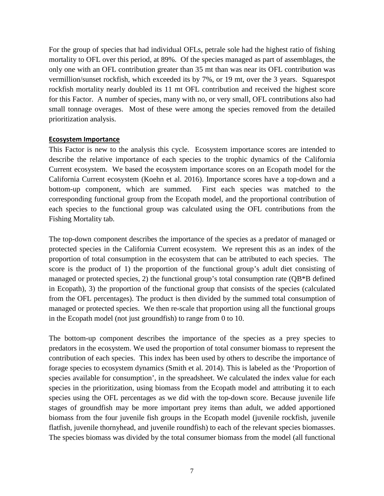For the group of species that had individual OFLs, petrale sole had the highest ratio of fishing mortality to OFL over this period, at 89%. Of the species managed as part of assemblages, the only one with an OFL contribution greater than 35 mt than was near its OFL contribution was vermillion/sunset rockfish, which exceeded its by 7%, or 19 mt, over the 3 years. Squarespot rockfish mortality nearly doubled its 11 mt OFL contribution and received the highest score for this Factor. A number of species, many with no, or very small, OFL contributions also had small tonnage overages. Most of these were among the species removed from the detailed prioritization analysis.

## **Ecosystem Importance**

This Factor is new to the analysis this cycle. Ecosystem importance scores are intended to describe the relative importance of each species to the trophic dynamics of the California Current ecosystem. We based the ecosystem importance scores on an Ecopath model for the California Current ecosystem (Koehn et al. 2016). Importance scores have a top-down and a bottom-up component, which are summed. First each species was matched to the corresponding functional group from the Ecopath model, and the proportional contribution of each species to the functional group was calculated using the OFL contributions from the Fishing Mortality tab.

The top-down component describes the importance of the species as a predator of managed or protected species in the California Current ecosystem. We represent this as an index of the proportion of total consumption in the ecosystem that can be attributed to each species. The score is the product of 1) the proportion of the functional group's adult diet consisting of managed or protected species, 2) the functional group's total consumption rate (QB\*B defined in Ecopath), 3) the proportion of the functional group that consists of the species (calculated from the OFL percentages). The product is then divided by the summed total consumption of managed or protected species. We then re-scale that proportion using all the functional groups in the Ecopath model (not just groundfish) to range from 0 to 10.

The bottom-up component describes the importance of the species as a prey species to predators in the ecosystem. We used the proportion of total consumer biomass to represent the contribution of each species. This index has been used by others to describe the importance of forage species to ecosystem dynamics (Smith et al. 2014). This is labeled as the 'Proportion of species available for consumption', in the spreadsheet. We calculated the index value for each species in the prioritization, using biomass from the Ecopath model and attributing it to each species using the OFL percentages as we did with the top-down score. Because juvenile life stages of groundfish may be more important prey items than adult, we added apportioned biomass from the four juvenile fish groups in the Ecopath model (juvenile rockfish, juvenile flatfish, juvenile thornyhead, and juvenile roundfish) to each of the relevant species biomasses. The species biomass was divided by the total consumer biomass from the model (all functional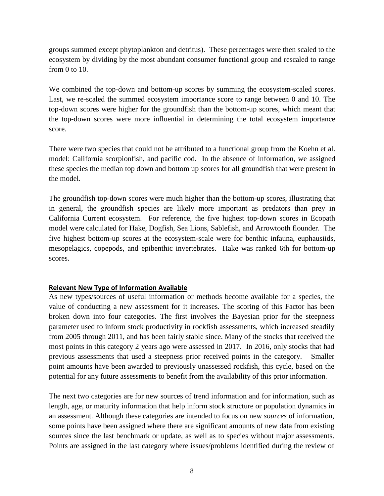groups summed except phytoplankton and detritus). These percentages were then scaled to the ecosystem by dividing by the most abundant consumer functional group and rescaled to range from 0 to 10.

We combined the top-down and bottom-up scores by summing the ecosystem-scaled scores. Last, we re-scaled the summed ecosystem importance score to range between 0 and 10. The top-down scores were higher for the groundfish than the bottom-up scores, which meant that the top-down scores were more influential in determining the total ecosystem importance score.

There were two species that could not be attributed to a functional group from the Koehn et al. model: California scorpionfish, and pacific cod. In the absence of information, we assigned these species the median top down and bottom up scores for all groundfish that were present in the model.

The groundfish top-down scores were much higher than the bottom-up scores, illustrating that in general, the groundfish species are likely more important as predators than prey in California Current ecosystem. For reference, the five highest top-down scores in Ecopath model were calculated for Hake, Dogfish, Sea Lions, Sablefish, and Arrowtooth flounder. The five highest bottom-up scores at the ecosystem-scale were for benthic infauna, euphausiids, mesopelagics, copepods, and epibenthic invertebrates. Hake was ranked 6th for bottom-up scores.

## **Relevant New Type of Information Available**

As new types/sources of useful information or methods become available for a species, the value of conducting a new assessment for it increases. The scoring of this Factor has been broken down into four categories. The first involves the Bayesian prior for the steepness parameter used to inform stock productivity in rockfish assessments, which increased steadily from 2005 through 2011, and has been fairly stable since. Many of the stocks that received the most points in this category 2 years ago were assessed in 2017. In 2016, only stocks that had previous assessments that used a steepness prior received points in the category. Smaller point amounts have been awarded to previously unassessed rockfish, this cycle, based on the potential for any future assessments to benefit from the availability of this prior information.

The next two categories are for new sources of trend information and for information, such as length, age, or maturity information that help inform stock structure or population dynamics in an assessment. Although these categories are intended to focus on new *sources* of information, some points have been assigned where there are significant amounts of new data from existing sources since the last benchmark or update, as well as to species without major assessments. Points are assigned in the last category where issues/problems identified during the review of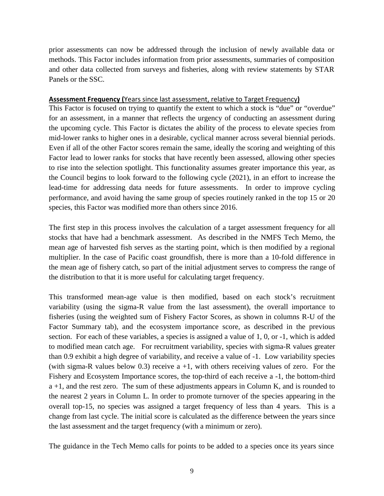prior assessments can now be addressed through the inclusion of newly available data or methods. This Factor includes information from prior assessments, summaries of composition and other data collected from surveys and fisheries, along with review statements by STAR Panels or the SSC.

#### **Assessment Frequency (**Years since last assessment, relative to Target Frequency**)**

This Factor is focused on trying to quantify the extent to which a stock is "due" or "overdue" for an assessment, in a manner that reflects the urgency of conducting an assessment during the upcoming cycle. This Factor is dictates the ability of the process to elevate species from mid-lower ranks to higher ones in a desirable, cyclical manner across several biennial periods. Even if all of the other Factor scores remain the same, ideally the scoring and weighting of this Factor lead to lower ranks for stocks that have recently been assessed, allowing other species to rise into the selection spotlight. This functionality assumes greater importance this year, as the Council begins to look forward to the following cycle (2021), in an effort to increase the lead-time for addressing data needs for future assessments. In order to improve cycling performance, and avoid having the same group of species routinely ranked in the top 15 or 20 species, this Factor was modified more than others since 2016.

The first step in this process involves the calculation of a target assessment frequency for all stocks that have had a benchmark assessment. As described in the NMFS Tech Memo, the mean age of harvested fish serves as the starting point, which is then modified by a regional multiplier. In the case of Pacific coast groundfish, there is more than a 10-fold difference in the mean age of fishery catch, so part of the initial adjustment serves to compress the range of the distribution to that it is more useful for calculating target frequency.

This transformed mean-age value is then modified, based on each stock's recruitment variability (using the sigma-R value from the last assessment), the overall importance to fisheries (using the weighted sum of Fishery Factor Scores, as shown in columns R-U of the Factor Summary tab), and the ecosystem importance score, as described in the previous section. For each of these variables, a species is assigned a value of 1, 0, or -1, which is added to modified mean catch age. For recruitment variability, species with sigma-R values greater than 0.9 exhibit a high degree of variability, and receive a value of -1. Low variability species (with sigma-R values below 0.3) receive  $a +1$ , with others receiving values of zero. For the Fishery and Ecosystem Importance scores, the top-third of each receive a -1, the bottom-third  $a +1$ , and the rest zero. The sum of these adjustments appears in Column K, and is rounded to the nearest 2 years in Column L. In order to promote turnover of the species appearing in the overall top-15, no species was assigned a target frequency of less than 4 years. This is a change from last cycle. The initial score is calculated as the difference between the years since the last assessment and the target frequency (with a minimum or zero).

The guidance in the Tech Memo calls for points to be added to a species once its years since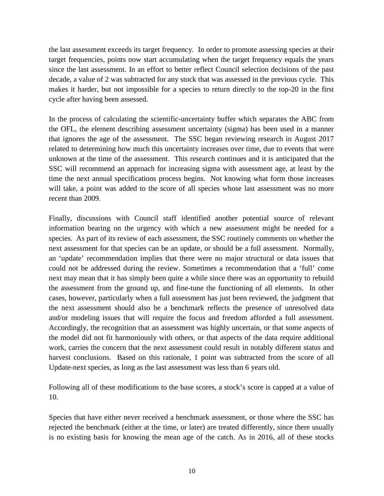the last assessment exceeds its target frequency. In order to promote assessing species at their target frequencies, points now start accumulating when the target frequency equals the years since the last assessment. In an effort to better reflect Council selection decisions of the past decade, a value of 2 was subtracted for any stock that was assessed in the previous cycle. This makes it harder, but not impossible for a species to return directly to the top-20 in the first cycle after having been assessed.

In the process of calculating the scientific-uncertainty buffer which separates the ABC from the OFL, the element describing assessment uncertainty (sigma) has been used in a manner that ignores the age of the assessment. The SSC began reviewing research in August 2017 related to determining how much this uncertainty increases over time, due to events that were unknown at the time of the assessment. This research continues and it is anticipated that the SSC will recommend an approach for increasing sigma with assessment age, at least by the time the next annual specifications process begins. Not knowing what form those increases will take, a point was added to the score of all species whose last assessment was no more recent than 2009.

Finally, discussions with Council staff identified another potential source of relevant information bearing on the urgency with which a new assessment might be needed for a species. As part of its review of each assessment, the SSC routinely comments on whether the next assessment for that species can be an update, or should be a full assessment. Normally, an 'update' recommendation implies that there were no major structural or data issues that could not be addressed during the review. Sometimes a recommendation that a 'full' come next may mean that it has simply been quite a while since there was an opportunity to rebuild the assessment from the ground up, and fine-tune the functioning of all elements. In other cases, however, particularly when a full assessment has just been reviewed, the judgment that the next assessment should also be a benchmark reflects the presence of unresolved data and/or modeling issues that will require the focus and freedom afforded a full assessment. Accordingly, the recognition that an assessment was highly uncertain, or that some aspects of the model did not fit harmoniously with others, or that aspects of the data require additional work, carries the concern that the next assessment could result in notably different status and harvest conclusions. Based on this rationale, 1 point was subtracted from the score of all Update-next species, as long as the last assessment was less than 6 years old.

Following all of these modifications to the base scores, a stock's score is capped at a value of 10.

Species that have either never received a benchmark assessment, or those where the SSC has rejected the benchmark (either at the time, or later) are treated differently, since there usually is no existing basis for knowing the mean age of the catch. As in 2016, all of these stocks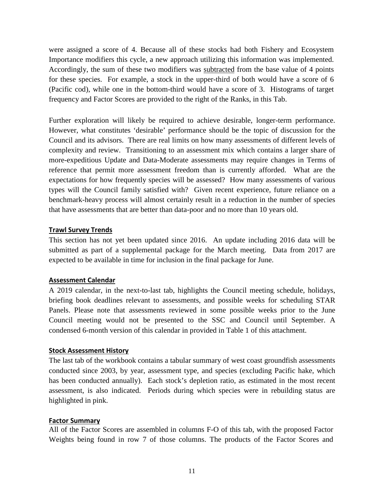were assigned a score of 4. Because all of these stocks had both Fishery and Ecosystem Importance modifiers this cycle, a new approach utilizing this information was implemented. Accordingly, the sum of these two modifiers was subtracted from the base value of 4 points for these species. For example, a stock in the upper-third of both would have a score of 6 (Pacific cod), while one in the bottom-third would have a score of 3. Histograms of target frequency and Factor Scores are provided to the right of the Ranks, in this Tab.

Further exploration will likely be required to achieve desirable, longer-term performance. However, what constitutes 'desirable' performance should be the topic of discussion for the Council and its advisors. There are real limits on how many assessments of different levels of complexity and review. Transitioning to an assessment mix which contains a larger share of more-expeditious Update and Data-Moderate assessments may require changes in Terms of reference that permit more assessment freedom than is currently afforded. What are the expectations for how frequently species will be assessed? How many assessments of various types will the Council family satisfied with? Given recent experience, future reliance on a benchmark-heavy process will almost certainly result in a reduction in the number of species that have assessments that are better than data-poor and no more than 10 years old.

#### **Trawl Survey Trends**

This section has not yet been updated since 2016. An update including 2016 data will be submitted as part of a supplemental package for the March meeting. Data from 2017 are expected to be available in time for inclusion in the final package for June.

## **Assessment Calendar**

A 2019 calendar, in the next-to-last tab, highlights the Council meeting schedule, holidays, briefing book deadlines relevant to assessments, and possible weeks for scheduling STAR Panels. Please note that assessments reviewed in some possible weeks prior to the June Council meeting would not be presented to the SSC and Council until September. A condensed 6-month version of this calendar in provided in Table 1 of this attachment.

#### **Stock Assessment History**

The last tab of the workbook contains a tabular summary of west coast groundfish assessments conducted since 2003, by year, assessment type, and species (excluding Pacific hake, which has been conducted annually). Each stock's depletion ratio, as estimated in the most recent assessment, is also indicated. Periods during which species were in rebuilding status are highlighted in pink.

#### **Factor Summary**

All of the Factor Scores are assembled in columns F-O of this tab, with the proposed Factor Weights being found in row 7 of those columns. The products of the Factor Scores and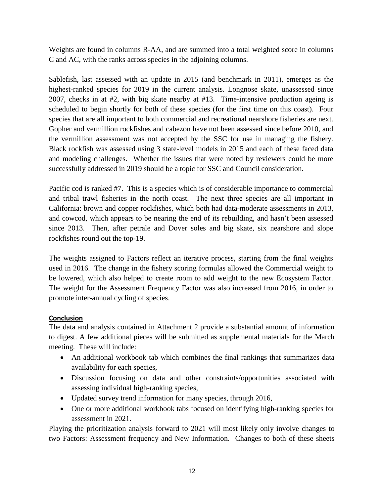Weights are found in columns R-AA, and are summed into a total weighted score in columns C and AC, with the ranks across species in the adjoining columns.

Sablefish, last assessed with an update in 2015 (and benchmark in 2011), emerges as the highest-ranked species for 2019 in the current analysis. Longnose skate, unassessed since 2007, checks in at #2, with big skate nearby at #13. Time-intensive production ageing is scheduled to begin shortly for both of these species (for the first time on this coast). Four species that are all important to both commercial and recreational nearshore fisheries are next. Gopher and vermillion rockfishes and cabezon have not been assessed since before 2010, and the vermillion assessment was not accepted by the SSC for use in managing the fishery. Black rockfish was assessed using 3 state-level models in 2015 and each of these faced data and modeling challenges. Whether the issues that were noted by reviewers could be more successfully addressed in 2019 should be a topic for SSC and Council consideration.

Pacific cod is ranked #7. This is a species which is of considerable importance to commercial and tribal trawl fisheries in the north coast. The next three species are all important in California: brown and copper rockfishes, which both had data-moderate assessments in 2013, and cowcod, which appears to be nearing the end of its rebuilding, and hasn't been assessed since 2013. Then, after petrale and Dover soles and big skate, six nearshore and slope rockfishes round out the top-19.

The weights assigned to Factors reflect an iterative process, starting from the final weights used in 2016. The change in the fishery scoring formulas allowed the Commercial weight to be lowered, which also helped to create room to add weight to the new Ecosystem Factor. The weight for the Assessment Frequency Factor was also increased from 2016, in order to promote inter-annual cycling of species.

## **Conclusion**

The data and analysis contained in Attachment 2 provide a substantial amount of information to digest. A few additional pieces will be submitted as supplemental materials for the March meeting. These will include:

- An additional workbook tab which combines the final rankings that summarizes data availability for each species,
- Discussion focusing on data and other constraints/opportunities associated with assessing individual high-ranking species,
- Updated survey trend information for many species, through 2016,
- One or more additional workbook tabs focused on identifying high-ranking species for assessment in 2021.

Playing the prioritization analysis forward to 2021 will most likely only involve changes to two Factors: Assessment frequency and New Information. Changes to both of these sheets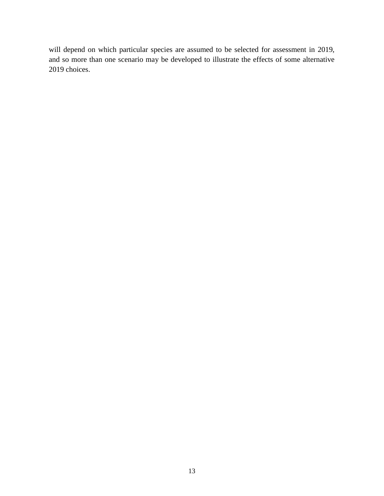will depend on which particular species are assumed to be selected for assessment in 2019, and so more than one scenario may be developed to illustrate the effects of some alternative 2019 choices.